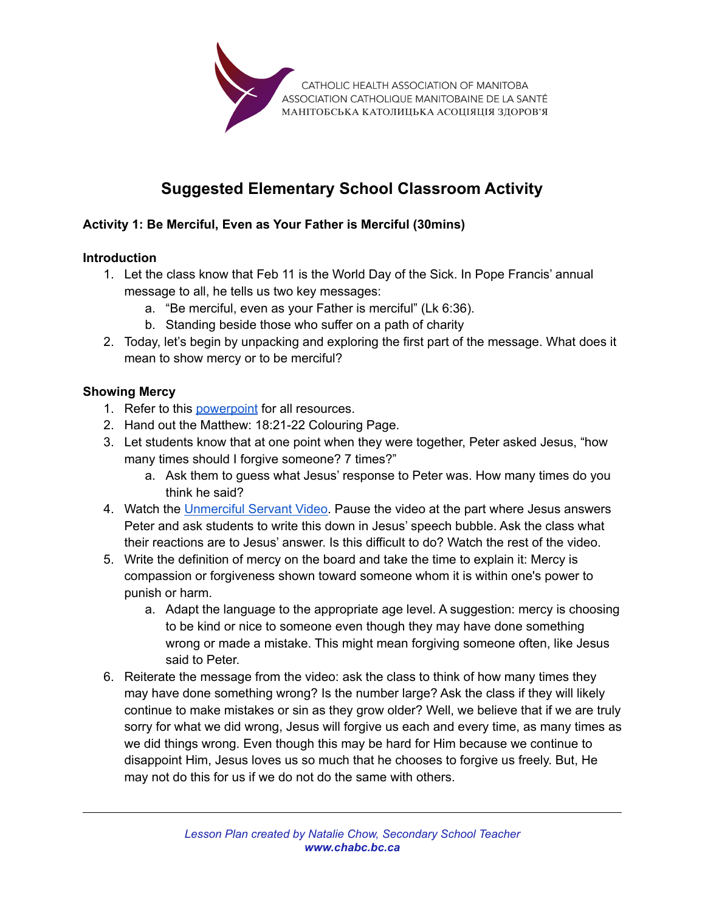

# **Suggested Elementary School Classroom Activity**

## **Activity 1: Be Merciful, Even as Your Father is Merciful (30mins)**

#### **Introduction**

- 1. Let the class know that Feb 11 is the World Day of the Sick. In Pope Francis' annual message to all, he tells us two key messages:
	- a. "Be merciful, even as your Father is merciful" (Lk 6:36).
	- b. Standing beside those who suffer on a path of charity
- 2. Today, let's begin by unpacking and exploring the first part of the message. What does it mean to show mercy or to be merciful?

#### **Showing Mercy**

- 1. Refer to this [powerpoint](https://docs.google.com/presentation/d/1zPOJ4oadQnnwDxyChH6CO3W6DBara7dvZ7FIytQc3q0/edit#slide=id.g1107bbb1195_0_0) for all resources.
- 2. Hand out the Matthew: 18:21-22 Colouring Page.
- 3. Let students know that at one point when they were together, Peter asked Jesus, "how many times should I forgive someone? 7 times?"
	- a. Ask them to guess what Jesus' response to Peter was. How many times do you think he said?
- 4. Watch the [Unmerciful Servant Video.](https://www.yout-ube.com/watch?v=y7c976lrlek) Pause the video at the part where Jesus answers Peter and ask students to write this down in Jesus' speech bubble. Ask the class what their reactions are to Jesus' answer. Is this difficult to do? Watch the rest of the video.
- 5. Write the definition of mercy on the board and take the time to explain it: Mercy is compassion or forgiveness shown toward someone whom it is within one's power to punish or harm.
	- a. Adapt the language to the appropriate age level. A suggestion: mercy is choosing to be kind or nice to someone even though they may have done something wrong or made a mistake. This might mean forgiving someone often, like Jesus said to Peter.
- 6. Reiterate the message from the video: ask the class to think of how many times they may have done something wrong? Is the number large? Ask the class if they will likely continue to make mistakes or sin as they grow older? Well, we believe that if we are truly sorry for what we did wrong, Jesus will forgive us each and every time, as many times as we did things wrong. Even though this may be hard for Him because we continue to disappoint Him, Jesus loves us so much that he chooses to forgive us freely. But, He may not do this for us if we do not do the same with others.